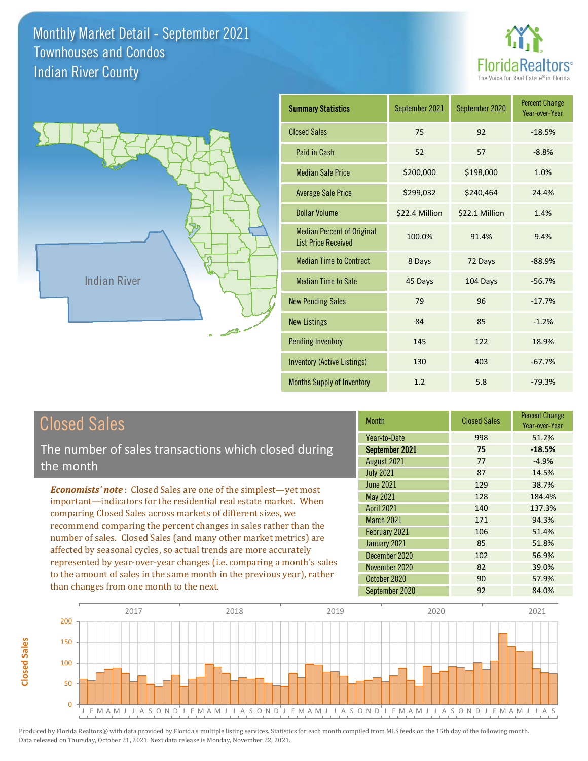



| <b>Summary Statistics</b>                                       | September 2021 | September 2020 | <b>Percent Change</b><br>Year-over-Year |
|-----------------------------------------------------------------|----------------|----------------|-----------------------------------------|
| <b>Closed Sales</b>                                             | 75             | 92             | $-18.5%$                                |
| Paid in Cash                                                    | 52             | 57             | $-8.8%$                                 |
| <b>Median Sale Price</b>                                        | \$200,000      | \$198,000      | 1.0%                                    |
| <b>Average Sale Price</b>                                       | \$299,032      | \$240,464      | 24.4%                                   |
| Dollar Volume                                                   | \$22.4 Million | \$22.1 Million | 1.4%                                    |
| <b>Median Percent of Original</b><br><b>List Price Received</b> | 100.0%         | 91.4%          | 9.4%                                    |
| <b>Median Time to Contract</b>                                  | 8 Days         | 72 Days        | $-88.9%$                                |
| <b>Median Time to Sale</b>                                      | 45 Days        | 104 Days       | $-56.7%$                                |
| <b>New Pending Sales</b>                                        | 79             | 96             | $-17.7%$                                |
| <b>New Listings</b>                                             | 84             | 85             | $-1.2%$                                 |
| <b>Pending Inventory</b>                                        | 145            | 122            | 18.9%                                   |
| <b>Inventory (Active Listings)</b>                              | 130            | 403            | $-67.7%$                                |
| Months Supply of Inventory                                      | 1.2            | 5.8            | $-79.3%$                                |

# Closed Sales

**Closed Sales**

**Closed Sales** 

The number of sales transactions which closed during the month

*Economists' note* : Closed Sales are one of the simplest—yet most important—indicators for the residential real estate market. When comparing Closed Sales across markets of different sizes, we recommend comparing the percent changes in sales rather than the number of sales. Closed Sales (and many other market metrics) are affected by seasonal cycles, so actual trends are more accurately represented by year-over-year changes (i.e. comparing a month's sales to the amount of sales in the same month in the previous year), rather than changes from one month to the next.

| <b>Month</b>      | <b>Closed Sales</b> | <b>Percent Change</b><br>Year-over-Year |
|-------------------|---------------------|-----------------------------------------|
| Year-to-Date      | 998                 | 51.2%                                   |
| September 2021    | 75                  | $-18.5%$                                |
| August 2021       | 77                  | $-4.9%$                                 |
| <b>July 2021</b>  | 87                  | 14.5%                                   |
| <b>June 2021</b>  | 129                 | 38.7%                                   |
| <b>May 2021</b>   | 128                 | 184.4%                                  |
| <b>April 2021</b> | 140                 | 137.3%                                  |
| <b>March 2021</b> | 171                 | 94.3%                                   |
| February 2021     | 106                 | 51.4%                                   |
| January 2021      | 85                  | 51.8%                                   |
| December 2020     | 102                 | 56.9%                                   |
| November 2020     | 82                  | 39.0%                                   |
| October 2020      | 90                  | 57.9%                                   |
| September 2020    | 92                  | 84.0%                                   |

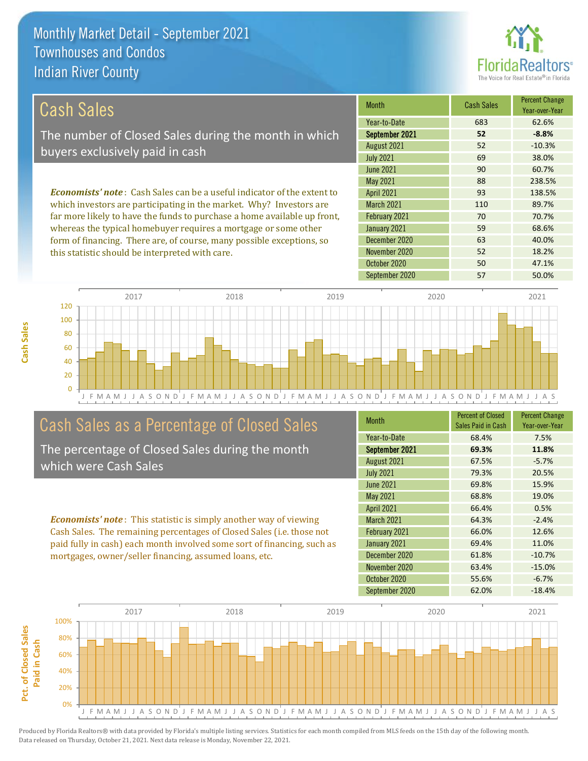this statistic should be interpreted with care.



52 18.2%

| Cash Sales                                                                      | <b>Month</b>      | <b>Cash Sales</b> | <b>Percent Change</b><br>Year-over-Year |
|---------------------------------------------------------------------------------|-------------------|-------------------|-----------------------------------------|
|                                                                                 | Year-to-Date      | 683               | 62.6%                                   |
| The number of Closed Sales during the month in which                            | September 2021    | 52                | $-8.8%$                                 |
| buyers exclusively paid in cash                                                 | August 2021       | 52                | $-10.3%$                                |
|                                                                                 | <b>July 2021</b>  | 69                | 38.0%                                   |
|                                                                                 | June 2021         | 90                | 60.7%                                   |
|                                                                                 | May 2021          | 88                | 238.5%                                  |
| <b>Economists' note</b> : Cash Sales can be a useful indicator of the extent to | <b>April 2021</b> | 93                | 138.5%                                  |
| which investors are participating in the market. Why? Investors are             | <b>March 2021</b> | 110               | 89.7%                                   |
| far more likely to have the funds to purchase a home available up front,        | February 2021     | 70                | 70.7%                                   |
| whereas the typical homebuyer requires a mortgage or some other                 | January 2021      | 59                | 68.6%                                   |
| form of financing. There are, of course, many possible exceptions, so           | December 2020     | 63                | 40.0%                                   |

J F M A M J J A S O N D J F M A M J J A S O N D J F M A M J J A S O N D J F M A M J J A S O N D J F M A M J J A S 0 20 40 60 80 100 120 2017 2018 2019 2020 2021

# Cash Sales as a Percentage of Closed Sales

The percentage of Closed Sales during the month which were Cash Sales

*Economists' note* : This statistic is simply another way of viewing Cash Sales. The remaining percentages of Closed Sales (i.e. those not paid fully in cash) each month involved some sort of financing, such as mortgages, owner/seller financing, assumed loans, etc.

| <b>Month</b>      | <b>Percent of Closed</b><br>Sales Paid in Cash | <b>Percent Change</b><br>Year-over-Year |
|-------------------|------------------------------------------------|-----------------------------------------|
| Year-to-Date      | 68.4%                                          | 7.5%                                    |
| September 2021    | 69.3%                                          | 11.8%                                   |
| August 2021       | 67.5%                                          | $-5.7%$                                 |
| <b>July 2021</b>  | 79.3%                                          | 20.5%                                   |
| June 2021         | 69.8%                                          | 15.9%                                   |
| <b>May 2021</b>   | 68.8%                                          | 19.0%                                   |
| <b>April 2021</b> | 66.4%                                          | 0.5%                                    |
| <b>March 2021</b> | 64.3%                                          | $-2.4%$                                 |
| February 2021     | 66.0%                                          | 12.6%                                   |
| January 2021      | 69.4%                                          | 11.0%                                   |
| December 2020     | 61.8%                                          | $-10.7%$                                |
| November 2020     | 63.4%                                          | $-15.0%$                                |
| October 2020      | 55.6%                                          | $-6.7%$                                 |
| September 2020    | 62.0%                                          | $-18.4%$                                |

October 2020 50 50 47.1%

November 2020

September 2020 57 50.0%

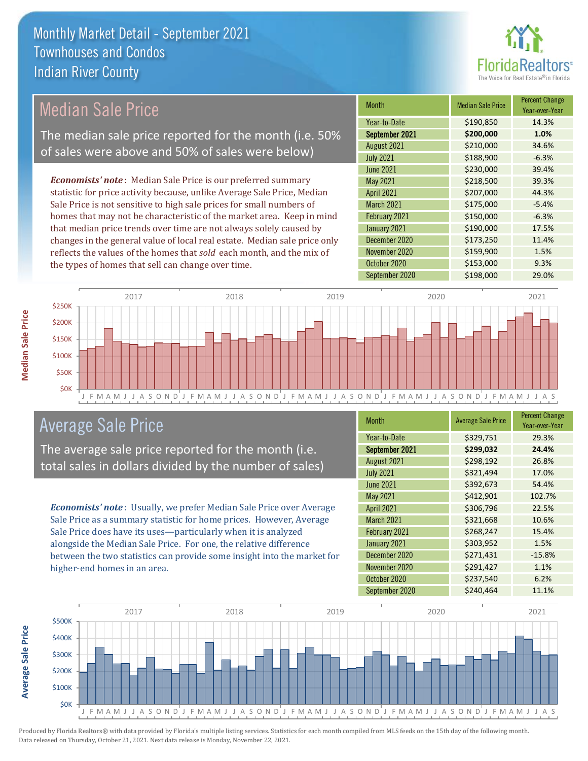

## Median Sale Price

The median sale price reported for the month (i.e. 50% of sales were above and 50% of sales were below)

*Economists' note* : Median Sale Price is our preferred summary statistic for price activity because, unlike Average Sale Price, Median Sale Price is not sensitive to high sale prices for small numbers of homes that may not be characteristic of the market area. Keep in mind that median price trends over time are not always solely caused by changes in the general value of local real estate. Median sale price only reflects the values of the homes that *sold* each month, and the mix of the types of homes that sell can change over time.

| <b>Month</b>      | <b>Median Sale Price</b> | <b>Percent Change</b><br>Year-over-Year |
|-------------------|--------------------------|-----------------------------------------|
| Year-to-Date      | \$190,850                | 14.3%                                   |
| September 2021    | \$200,000                | 1.0%                                    |
| August 2021       | \$210,000                | 34.6%                                   |
| <b>July 2021</b>  | \$188,900                | $-6.3%$                                 |
| <b>June 2021</b>  | \$230,000                | 39.4%                                   |
| May 2021          | \$218,500                | 39.3%                                   |
| <b>April 2021</b> | \$207,000                | 44.3%                                   |
| <b>March 2021</b> | \$175,000                | $-5.4%$                                 |
| February 2021     | \$150,000                | $-6.3%$                                 |
| January 2021      | \$190,000                | 17.5%                                   |
| December 2020     | \$173,250                | 11.4%                                   |
| November 2020     | \$159,900                | 1.5%                                    |
| October 2020      | \$153,000                | 9.3%                                    |
| September 2020    | \$198,000                | 29.0%                                   |



### Average Sale Price

The average sale price reported for the month (i.e. total sales in dollars divided by the number of sales)

*Economists' note* : Usually, we prefer Median Sale Price over Average Sale Price as a summary statistic for home prices. However, Average Sale Price does have its uses—particularly when it is analyzed alongside the Median Sale Price. For one, the relative difference between the two statistics can provide some insight into the market for higher-end homes in an area.

| Month             | <b>Average Sale Price</b> | <b>Percent Change</b><br>Year-over-Year |
|-------------------|---------------------------|-----------------------------------------|
| Year-to-Date      | \$329,751                 | 29.3%                                   |
| September 2021    | \$299,032                 | 24.4%                                   |
| August 2021       | \$298,192                 | 26.8%                                   |
| <b>July 2021</b>  | \$321,494                 | 17.0%                                   |
| <b>June 2021</b>  | \$392,673                 | 54.4%                                   |
| May 2021          | \$412,901                 | 102.7%                                  |
| <b>April 2021</b> | \$306,796                 | 22.5%                                   |
| <b>March 2021</b> | \$321,668                 | 10.6%                                   |
| February 2021     | \$268,247                 | 15.4%                                   |
| January 2021      | \$303,952                 | 1.5%                                    |
| December 2020     | \$271,431                 | $-15.8%$                                |
| November 2020     | \$291,427                 | 1.1%                                    |
| October 2020      | \$237,540                 | 6.2%                                    |
| September 2020    | \$240,464                 | 11.1%                                   |

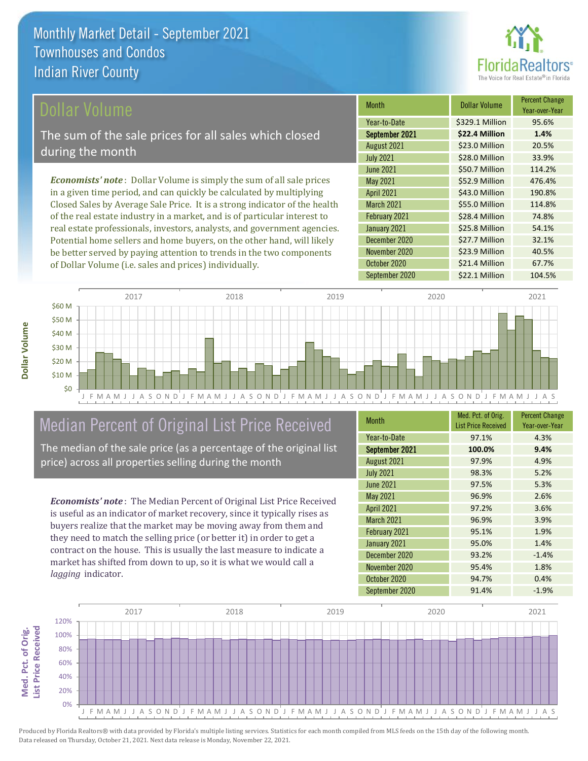

Year-over-Year

### ollar Volume

The sum of the sale prices for all sales which closed during the month

*Economists' note* : Dollar Volume is simply the sum of all sale prices in a given time period, and can quickly be calculated by multiplying Closed Sales by Average Sale Price. It is a strong indicator of the health of the real estate industry in a market, and is of particular interest to real estate professionals, investors, analysts, and government agencies. Potential home sellers and home buyers, on the other hand, will likely be better served by paying attention to trends in the two components of Dollar Volume (i.e. sales and prices) individually.



### Median Percent of Original List Price Received

The median of the sale price (as a percentage of the original list price) across all properties selling during the month

*Economists' note* : The Median Percent of Original List Price Received is useful as an indicator of market recovery, since it typically rises as buyers realize that the market may be moving away from them and they need to match the selling price (or better it) in order to get a contract on the house. This is usually the last measure to indicate a market has shifted from down to up, so it is what we would call a *lagging* indicator.

| <b>Month</b>      | Med. Pct. of Orig.<br><b>List Price Received</b> | <b>Percent Change</b><br>Year-over-Year |
|-------------------|--------------------------------------------------|-----------------------------------------|
| Year-to-Date      | 97.1%                                            | 4.3%                                    |
| September 2021    | 100.0%                                           | 9.4%                                    |
| August 2021       | 97.9%                                            | 4.9%                                    |
| <b>July 2021</b>  | 98.3%                                            | 5.2%                                    |
| <b>June 2021</b>  | 97.5%                                            | 5.3%                                    |
| May 2021          | 96.9%                                            | 2.6%                                    |
| <b>April 2021</b> | 97.2%                                            | 3.6%                                    |
| <b>March 2021</b> | 96.9%                                            | 3.9%                                    |
| February 2021     | 95.1%                                            | 1.9%                                    |
| January 2021      | 95.0%                                            | 1.4%                                    |
| December 2020     | 93.2%                                            | $-1.4%$                                 |
| November 2020     | 95.4%                                            | 1.8%                                    |
| October 2020      | 94.7%                                            | 0.4%                                    |
| September 2020    | 91.4%                                            | $-1.9%$                                 |

January 2021 **\$25.8 Million** 54.1%

June 2021 **\$50.7 Million** 114.2% May 2021 **\$52.9 Million** 476.4% April 2021 \$43.0 Million 190.8% March 2021 **\$55.0 Million** 114.8% February 2021 **\$28.4 Million 74.8%** 

August 2021 **\$23.0 Million 20.5%** July 2021 **\$28.0 Million** 33.9%

September 2021 **\$22.4 Million 1.4%** Year-to-Date \$329.1 Million 95.6%

Month **Dollar Volume** Percent Change

October 2020 \$21.4 Million 67.7%

September 2020 \$22.1 Million 104.5%

**\$23.9 Million 40.5%** 

\$27.7 Million 32.1%

December 2020

November 2020

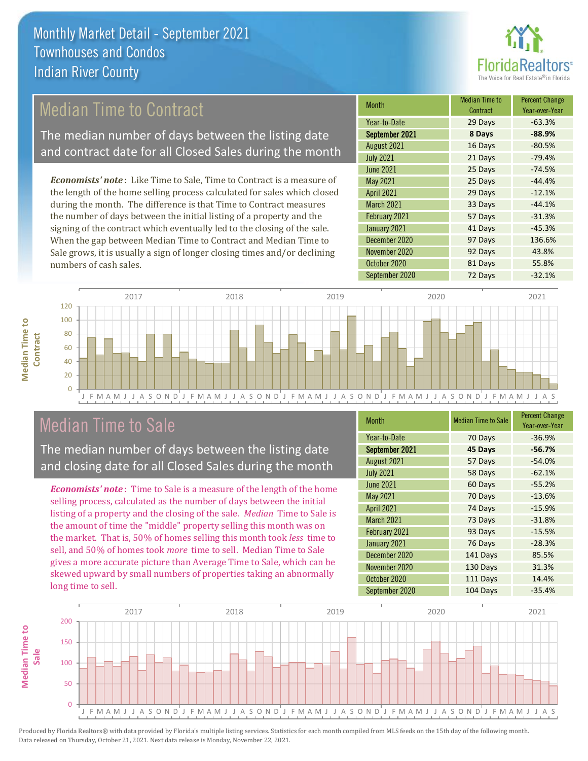

## Median Time to Contract

The median number of days between the listing date and contract date for all Closed Sales during the month

*Economists' note* : Like Time to Sale, Time to Contract is a measure of the length of the home selling process calculated for sales which closed during the month. The difference is that Time to Contract measures the number of days between the initial listing of a property and the signing of the contract which eventually led to the closing of the sale. When the gap between Median Time to Contract and Median Time to Sale grows, it is usually a sign of longer closing times and/or declining numbers of cash sales.

| <b>Month</b>      | <b>Median Time to</b><br>Contract | <b>Percent Change</b><br>Year-over-Year |
|-------------------|-----------------------------------|-----------------------------------------|
| Year-to-Date      | 29 Days                           | $-63.3%$                                |
| September 2021    | 8 Days                            | $-88.9%$                                |
| August 2021       | 16 Days                           | $-80.5%$                                |
| <b>July 2021</b>  | 21 Days                           | $-79.4%$                                |
| <b>June 2021</b>  | 25 Days                           | $-74.5%$                                |
| May 2021          | 25 Days                           | $-44.4%$                                |
| <b>April 2021</b> | 29 Days                           | $-12.1%$                                |
| March 2021        | 33 Days                           | $-44.1%$                                |
| February 2021     | 57 Days                           | $-31.3%$                                |
| January 2021      | 41 Days                           | $-45.3%$                                |
| December 2020     | 97 Days                           | 136.6%                                  |
| November 2020     | 92 Days                           | 43.8%                                   |
| October 2020      | 81 Days                           | 55.8%                                   |
| September 2020    | 72 Days                           | $-32.1%$                                |



### Median Time to Sale

**Median Time to Contract**

**Median Time to** 

The median number of days between the listing date and closing date for all Closed Sales during the month

*Economists' note* : Time to Sale is a measure of the length of the home selling process, calculated as the number of days between the initial listing of a property and the closing of the sale. *Median* Time to Sale is the amount of time the "middle" property selling this month was on the market. That is, 50% of homes selling this month took *less* time to sell, and 50% of homes took *more* time to sell. Median Time to Sale gives a more accurate picture than Average Time to Sale, which can be skewed upward by small numbers of properties taking an abnormally long time to sell.

| <b>Month</b>      | <b>Median Time to Sale</b> | <b>Percent Change</b><br>Year-over-Year |
|-------------------|----------------------------|-----------------------------------------|
| Year-to-Date      | 70 Days                    | $-36.9%$                                |
| September 2021    | 45 Days                    | $-56.7%$                                |
| August 2021       | 57 Days                    | $-54.0%$                                |
| <b>July 2021</b>  | 58 Days                    | $-62.1%$                                |
| <b>June 2021</b>  | 60 Days                    | $-55.2%$                                |
| May 2021          | 70 Days                    | $-13.6%$                                |
| <b>April 2021</b> | 74 Days                    | $-15.9%$                                |
| <b>March 2021</b> | 73 Days                    | $-31.8%$                                |
| February 2021     | 93 Days                    | $-15.5%$                                |
| January 2021      | 76 Days                    | $-28.3%$                                |
| December 2020     | 141 Days                   | 85.5%                                   |
| November 2020     | 130 Days                   | 31.3%                                   |
| October 2020      | 111 Days                   | 14.4%                                   |
| September 2020    | 104 Days                   | $-35.4%$                                |

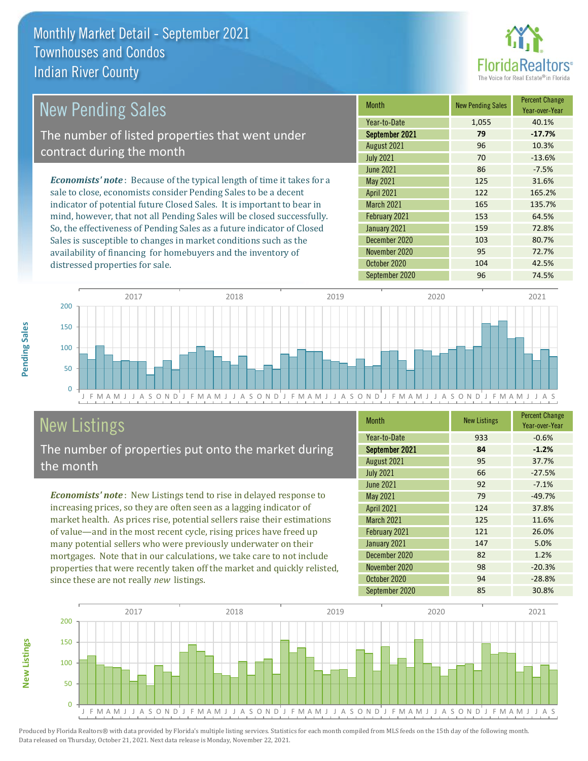

| <b>New Pending Sales</b>                                                       | <b>Month</b>      | <b>New Pending Sales</b> | <b>Percent Change</b><br>Year-over-Year |
|--------------------------------------------------------------------------------|-------------------|--------------------------|-----------------------------------------|
|                                                                                | Year-to-Date      | 1,055                    | 40.1%                                   |
| The number of listed properties that went under                                | September 2021    | 79                       | $-17.7%$                                |
| contract during the month                                                      | August 2021       | 96                       | 10.3%                                   |
|                                                                                | <b>July 2021</b>  | 70                       | $-13.6%$                                |
|                                                                                | June 2021         | 86                       | $-7.5%$                                 |
| <b>Economists' note</b> : Because of the typical length of time it takes for a | May 2021          | 125                      | 31.6%                                   |
| sale to close, economists consider Pending Sales to be a decent                | <b>April 2021</b> | 122                      | 165.2%                                  |
| indicator of potential future Closed Sales. It is important to bear in         | <b>March 2021</b> | 165                      | 135.7%                                  |
| mind, however, that not all Pending Sales will be closed successfully.         | February 2021     | 153                      | 64.5%                                   |
| So, the effectiveness of Pending Sales as a future indicator of Closed         | January 2021      | 159                      | 72.8%                                   |
| Sales is susceptible to changes in market conditions such as the               | December 2020     | 103                      | 80.7%                                   |
| availability of financing for homebuyers and the inventory of                  | November 2020     | 95                       | 72.7%                                   |



# New Listings

distressed properties for sale.

The number of properties put onto the market during the month

*Economists' note* : New Listings tend to rise in delayed response to increasing prices, so they are often seen as a lagging indicator of market health. As prices rise, potential sellers raise their estimations of value—and in the most recent cycle, rising prices have freed up many potential sellers who were previously underwater on their mortgages. Note that in our calculations, we take care to not include properties that were recently taken off the market and quickly relisted, since these are not really *new* listings.

| <b>Month</b>      | <b>New Listings</b> | <b>Percent Change</b><br>Year-over-Year |
|-------------------|---------------------|-----------------------------------------|
| Year-to-Date      | 933                 | $-0.6%$                                 |
| September 2021    | 84                  | $-1.2%$                                 |
| August 2021       | 95                  | 37.7%                                   |
| <b>July 2021</b>  | 66                  | $-27.5%$                                |
| <b>June 2021</b>  | 92                  | $-7.1%$                                 |
| <b>May 2021</b>   | 79                  | $-49.7%$                                |
| <b>April 2021</b> | 124                 | 37.8%                                   |
| March 2021        | 125                 | 11.6%                                   |
| February 2021     | 121                 | 26.0%                                   |
| January 2021      | 147                 | 5.0%                                    |
| December 2020     | 82                  | 1.2%                                    |
| November 2020     | 98                  | $-20.3%$                                |
| October 2020      | 94                  | $-28.8%$                                |
| September 2020    | 85                  | 30.8%                                   |

September 2020 96 74.5%

October 2020 104 104 42.5%



Produced by Florida Realtors® with data provided by Florida's multiple listing services. Statistics for each month compiled from MLS feeds on the 15th day of the following month. Data released on Thursday, October 21, 2021. Next data release is Monday, November 22, 2021.

**New Listings**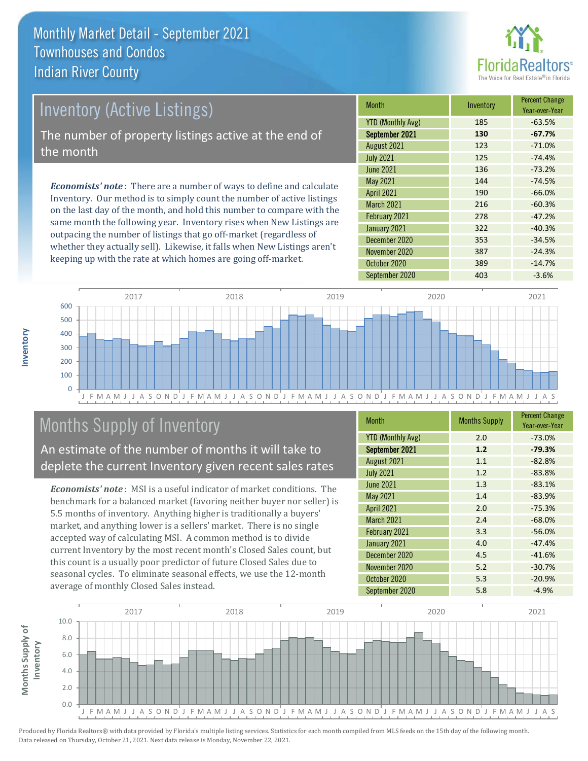

# *Economists' note* : There are a number of ways to define and calculate Inventory (Active Listings) The number of property listings active at the end of the month

Inventory. Our method is to simply count the number of active listings on the last day of the month, and hold this number to compare with the same month the following year. Inventory rises when New Listings are outpacing the number of listings that go off-market (regardless of whether they actually sell). Likewise, it falls when New Listings aren't keeping up with the rate at which homes are going off-market.

| Month                    | Inventory | <b>Percent Change</b><br>Year-over-Year |
|--------------------------|-----------|-----------------------------------------|
| <b>YTD (Monthly Avg)</b> | 185       | $-63.5%$                                |
| September 2021           | 130       | $-67.7%$                                |
| August 2021              | 123       | $-71.0%$                                |
| <b>July 2021</b>         | 125       | $-74.4%$                                |
| <b>June 2021</b>         | 136       | $-73.2%$                                |
| May 2021                 | 144       | $-74.5%$                                |
| <b>April 2021</b>        | 190       | $-66.0%$                                |
| <b>March 2021</b>        | 216       | $-60.3%$                                |
| February 2021            | 278       | $-47.2%$                                |
| January 2021             | 322       | $-40.3%$                                |
| December 2020            | 353       | $-34.5%$                                |
| November 2020            | 387       | $-24.3%$                                |
| October 2020             | 389       | $-14.7%$                                |
| September 2020           | 403       | $-3.6%$                                 |



# Months Supply of Inventory

An estimate of the number of months it will take to deplete the current Inventory given recent sales rates

*Economists' note* : MSI is a useful indicator of market conditions. The benchmark for a balanced market (favoring neither buyer nor seller) is 5.5 months of inventory. Anything higher is traditionally a buyers' market, and anything lower is a sellers' market. There is no single accepted way of calculating MSI. A common method is to divide current Inventory by the most recent month's Closed Sales count, but this count is a usually poor predictor of future Closed Sales due to seasonal cycles. To eliminate seasonal effects, we use the 12-month average of monthly Closed Sales instead.

| <b>Month</b>             | <b>Months Supply</b> | <b>Percent Change</b><br>Year-over-Year |
|--------------------------|----------------------|-----------------------------------------|
| <b>YTD (Monthly Avg)</b> | 2.0                  | $-73.0%$                                |
| September 2021           | 1.2                  | $-79.3%$                                |
| August 2021              | 1.1                  | $-82.8%$                                |
| <b>July 2021</b>         | 1.2                  | $-83.8%$                                |
| <b>June 2021</b>         | 1.3                  | $-83.1%$                                |
| <b>May 2021</b>          | 1.4                  | $-83.9%$                                |
| <b>April 2021</b>        | 2.0                  | $-75.3%$                                |
| <b>March 2021</b>        | 2.4                  | $-68.0%$                                |
| February 2021            | 3.3                  | $-56.0%$                                |
| January 2021             | 4.0                  | $-47.4%$                                |
| December 2020            | 4.5                  | $-41.6%$                                |
| November 2020            | 5.2                  | $-30.7%$                                |
| October 2020             | 5.3                  | $-20.9%$                                |
| September 2020           | 5.8                  | $-4.9%$                                 |

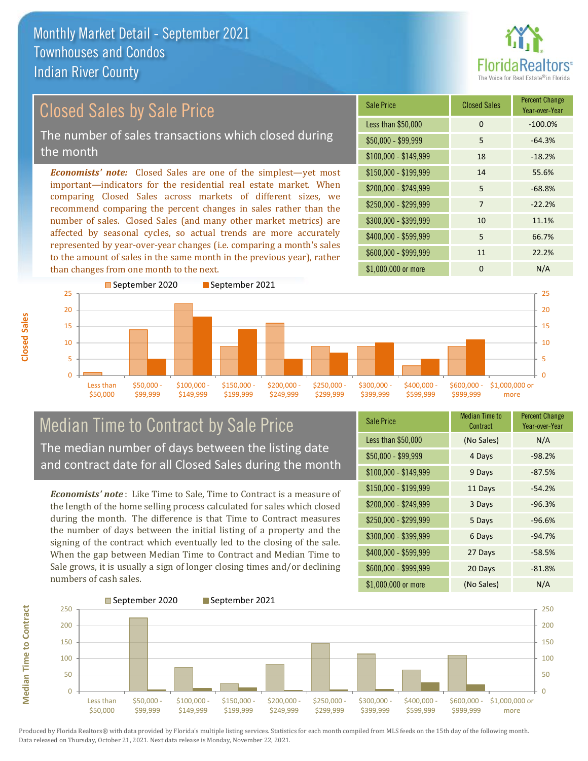

# Closed Sales by Sale Price

The number of sales transactions which closed during the month

*Economists' note:* Closed Sales are one of the simplest—yet most important—indicators for the residential real estate market. When comparing Closed Sales across markets of different sizes, we recommend comparing the percent changes in sales rather than the number of sales. Closed Sales (and many other market metrics) are affected by seasonal cycles, so actual trends are more accurately represented by year-over-year changes (i.e. comparing a month's sales to the amount of sales in the same month in the previous year), rather than changes from one month to the next.





### Median Time to Contract by Sale Price The median number of days between the listing date and contract date for all Closed Sales during the month

*Economists' note* : Like Time to Sale, Time to Contract is a measure of the length of the home selling process calculated for sales which closed during the month. The difference is that Time to Contract measures the number of days between the initial listing of a property and the signing of the contract which eventually led to the closing of the sale. When the gap between Median Time to Contract and Median Time to Sale grows, it is usually a sign of longer closing times and/or declining numbers of cash sales.

| <b>Sale Price</b>     | <b>Median Time to</b><br>Contract | <b>Percent Change</b><br>Year-over-Year |
|-----------------------|-----------------------------------|-----------------------------------------|
| Less than \$50,000    | (No Sales)                        | N/A                                     |
| \$50,000 - \$99,999   | 4 Days                            | $-98.2%$                                |
| $$100,000 - $149,999$ | 9 Days                            | $-87.5%$                                |
| $$150,000 - $199,999$ | 11 Days                           | $-54.2%$                                |
| \$200,000 - \$249,999 | 3 Days                            | $-96.3%$                                |
| \$250,000 - \$299,999 | 5 Days                            | $-96.6%$                                |
| \$300,000 - \$399,999 | 6 Days                            | $-94.7%$                                |
| \$400,000 - \$599,999 | 27 Days                           | $-58.5%$                                |
| \$600,000 - \$999,999 | 20 Days                           | $-81.8%$                                |
| \$1,000,000 or more   | (No Sales)                        | N/A                                     |



Produced by Florida Realtors® with data provided by Florida's multiple listing services. Statistics for each month compiled from MLS feeds on the 15th day of the following month. Data released on Thursday, October 21, 2021. Next data release is Monday, November 22, 2021.

**Median Time to Contract**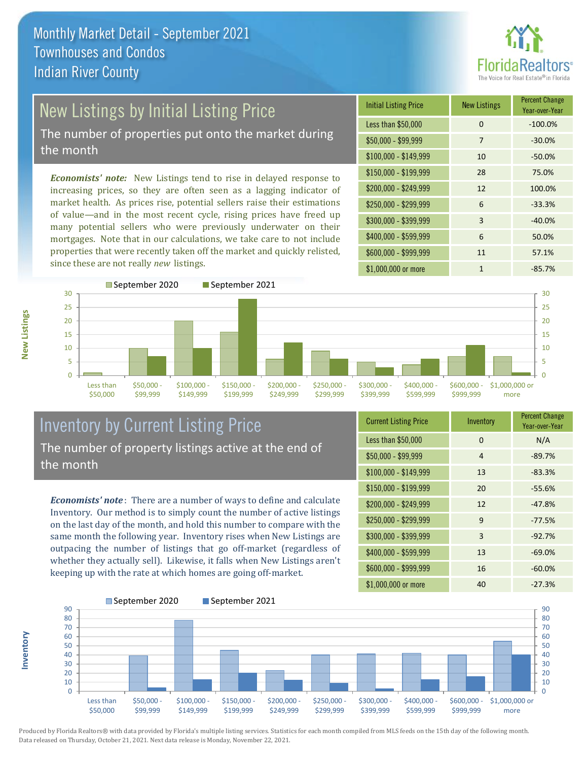

# New Listings by Initial Listing Price

The number of properties put onto the market during the month

*Economists' note:* New Listings tend to rise in delayed response to increasing prices, so they are often seen as a lagging indicator of market health. As prices rise, potential sellers raise their estimations of value—and in the most recent cycle, rising prices have freed up many potential sellers who were previously underwater on their mortgages. Note that in our calculations, we take care to not include properties that were recently taken off the market and quickly relisted, since these are not really *new* listings.





### Inventory by Current Listing Price The number of property listings active at the end of the month

*Economists' note* : There are a number of ways to define and calculate Inventory. Our method is to simply count the number of active listings on the last day of the month, and hold this number to compare with the same month the following year. Inventory rises when New Listings are outpacing the number of listings that go off-market (regardless of whether they actually sell). Likewise, it falls when New Listings aren't keeping up with the rate at which homes are going off-market.

| <b>Current Listing Price</b> | Inventory | <b>Percent Change</b><br>Year-over-Year |
|------------------------------|-----------|-----------------------------------------|
| Less than \$50,000           | $\Omega$  | N/A                                     |
| $$50,000 - $99,999$          | 4         | $-89.7%$                                |
| $$100,000 - $149,999$        | 13        | $-83.3%$                                |
| $$150,000 - $199,999$        | 20        | $-55.6%$                                |
| \$200,000 - \$249,999        | 12        | $-47.8%$                                |
| \$250,000 - \$299,999        | 9         | $-77.5%$                                |
| \$300,000 - \$399,999        | 3         | $-92.7%$                                |
| \$400,000 - \$599,999        | 13        | $-69.0%$                                |
| \$600,000 - \$999,999        | 16        | $-60.0%$                                |
| \$1,000,000 or more          | 40        | $-27.3%$                                |



Produced by Florida Realtors® with data provided by Florida's multiple listing services. Statistics for each month compiled from MLS feeds on the 15th day of the following month. Data released on Thursday, October 21, 2021. Next data release is Monday, November 22, 2021.

**Inventory**